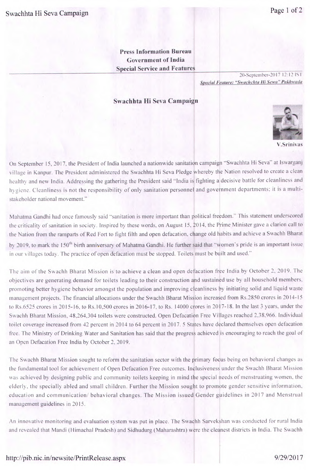**Press Information Bureau Government of India Special Service and Features** 

*20-Septcmher-20 17 2:12 IS*  Special Feature: "Swachchta Hi Sewa" Pakhwada

## **Swachhta Hi Seva Campaign**



On September 15, 2017. the President of India launched a nationwide sanitation campaign "Swachhta Hi Seva" at lswarganj village in Kanpur. The President administered the Swachhta Hi Seva Pledge whereby the Nation resolved to create a clean healthy and new India. Addressing the gathering the President said "India is fighting a decisive battle for cleanliness and hygiene. Cleanliness is not the responsibility of only sanitation personnel and government departments; it is a multistakeholder national movement."

Mahatma Gandhi had once famously said "sanitation is more important than political freedom." This statement underscored the criticality of sanitation in society. Inspired by these words, on August 15, 2014. the Prime Minister gave a clarion call to the Nation from the ramparts of Red Fort to fight filth and open defacation, change old habits and achieve a Swachh Bharat by 2019, to mark the 150<sup>th</sup> birth anniversary of Mahatma Gandhi. He further said that "women's pride is an important issue in our villages today. The practice of open defacation must be stopped. Toilets must be built and used."

The aim of the Swachh Bharat Mission is to achieve a clean and open defacation free India by October 2, 2019. The objectives are generating demand for toilets leading to their construction and sustained use by all household members, ronoting better hygiene behavior amongst the population and improving cleanliness by initiating solid and liquid waste management projects. The financial allocations under the Swachh Bharat Mission increased from Rs.2850 crores in 2014-15 to Rs.6525 crores in 2015-16, to Rs. 10,500 crores in 2016-17, to Rs. 14000 crores in 2017-18. In the last 3 years. under the Swachh Bharat Mission, 48.264,304 toilets were constructed. Open Defacation Free Villages reached 2.38.966. Individual toilet coverage increased from 42 percent in 2014 to 64 percent in 2017. *5* States have declared themselves open defacation free. The Ministry of Drinking Water and Sanitation has said that the progress achieved is encouraging to reach the goal of an Open Defacation Free India by October 2, 2019.

The Swachh Bharat Mission sought to reform the sanitation sector with the primary focus being on behavioral changes as the fundamental tool for achievement of Open Defacation Free outcomes. Inclusiveness under the Swachh Bharat Mission was achieved by designing public and community toilets keeping in mind the special needs of menstruating women, the elderly. the specially abled and small children. Further the Mission sought to promote gender sensitive information. education and communication/ behavioral changes. The Mission issued Gender guidelines in 2017 and Menstrual management guidelines in 2015.

An innovative monitoring and evaluation system was put in place. The Swachh Sarvekshan was conducted for rural India and revealed that Mandi (Himachal Pradesh) and Sidhudurg (Maharashtra) were the cleanest districts in India. The Swachh